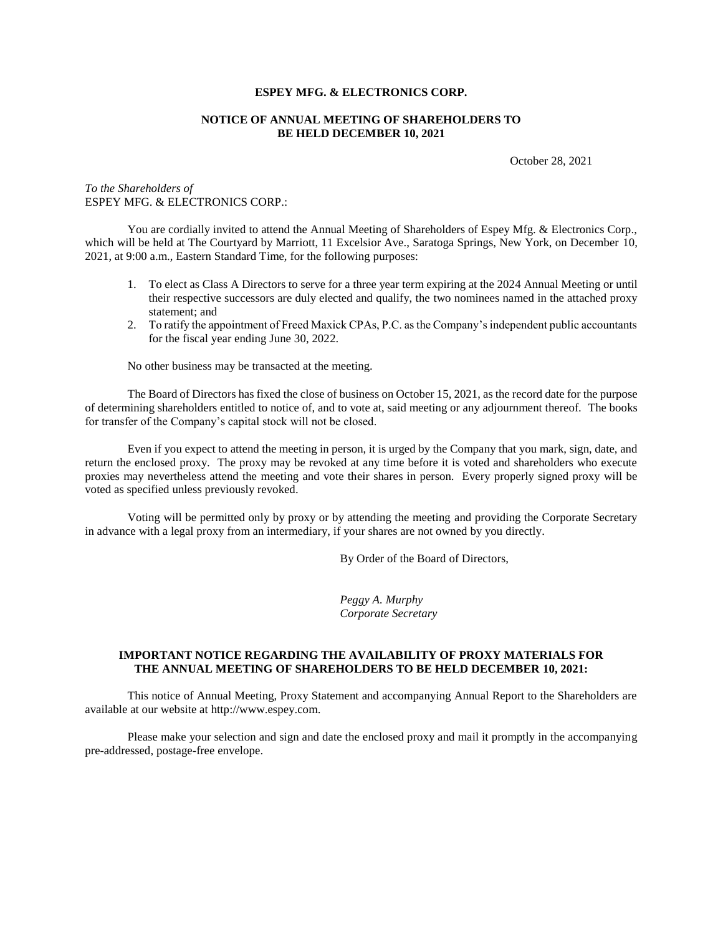## **ESPEY MFG. & ELECTRONICS CORP.**

#### **NOTICE OF ANNUAL MEETING OF SHAREHOLDERS TO BE HELD DECEMBER 10, 2021**

October 28, 2021

## *To the Shareholders of* ESPEY MFG. & ELECTRONICS CORP.:

You are cordially invited to attend the Annual Meeting of Shareholders of Espey Mfg. & Electronics Corp., which will be held at The Courtyard by Marriott, 11 Excelsior Ave., Saratoga Springs, New York, on December 10, 2021, at 9:00 a.m., Eastern Standard Time, for the following purposes:

- 1. To elect as Class A Directors to serve for a three year term expiring at the 2024 Annual Meeting or until their respective successors are duly elected and qualify, the two nominees named in the attached proxy statement; and
- 2. To ratify the appointment of Freed Maxick CPAs, P.C. as the Company's independent public accountants for the fiscal year ending June 30, 2022.

No other business may be transacted at the meeting.

The Board of Directors has fixed the close of business on October 15, 2021, as the record date for the purpose of determining shareholders entitled to notice of, and to vote at, said meeting or any adjournment thereof. The books for transfer of the Company's capital stock will not be closed.

Even if you expect to attend the meeting in person, it is urged by the Company that you mark, sign, date, and return the enclosed proxy. The proxy may be revoked at any time before it is voted and shareholders who execute proxies may nevertheless attend the meeting and vote their shares in person. Every properly signed proxy will be voted as specified unless previously revoked.

Voting will be permitted only by proxy or by attending the meeting and providing the Corporate Secretary in advance with a legal proxy from an intermediary, if your shares are not owned by you directly.

By Order of the Board of Directors,

*Peggy A. Murphy Corporate Secretary*

## **IMPORTANT NOTICE REGARDING THE AVAILABILITY OF PROXY MATERIALS FOR THE ANNUAL MEETING OF SHAREHOLDERS TO BE HELD DECEMBER 10, 2021:**

This notice of Annual Meeting, Proxy Statement and accompanying Annual Report to the Shareholders are available at our website at http://www.espey.com.

Please make your selection and sign and date the enclosed proxy and mail it promptly in the accompanying pre-addressed, postage-free envelope.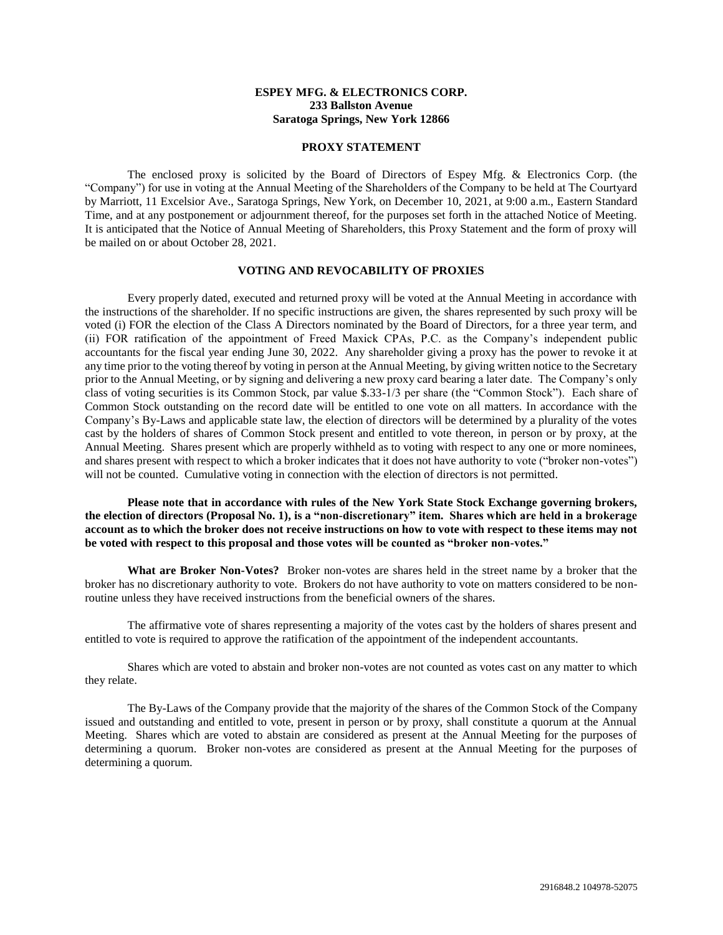# **ESPEY MFG. & ELECTRONICS CORP. 233 Ballston Avenue Saratoga Springs, New York 12866**

#### **PROXY STATEMENT**

The enclosed proxy is solicited by the Board of Directors of Espey Mfg. & Electronics Corp. (the "Company") for use in voting at the Annual Meeting of the Shareholders of the Company to be held at The Courtyard by Marriott, 11 Excelsior Ave., Saratoga Springs, New York, on December 10, 2021, at 9:00 a.m., Eastern Standard Time, and at any postponement or adjournment thereof, for the purposes set forth in the attached Notice of Meeting. It is anticipated that the Notice of Annual Meeting of Shareholders, this Proxy Statement and the form of proxy will be mailed on or about October 28, 2021.

#### **VOTING AND REVOCABILITY OF PROXIES**

Every properly dated, executed and returned proxy will be voted at the Annual Meeting in accordance with the instructions of the shareholder. If no specific instructions are given, the shares represented by such proxy will be voted (i) FOR the election of the Class A Directors nominated by the Board of Directors, for a three year term, and (ii) FOR ratification of the appointment of Freed Maxick CPAs, P.C. as the Company's independent public accountants for the fiscal year ending June 30, 2022. Any shareholder giving a proxy has the power to revoke it at any time prior to the voting thereof by voting in person at the Annual Meeting, by giving written notice to the Secretary prior to the Annual Meeting, or by signing and delivering a new proxy card bearing a later date. The Company's only class of voting securities is its Common Stock, par value \$.33-1/3 per share (the "Common Stock"). Each share of Common Stock outstanding on the record date will be entitled to one vote on all matters. In accordance with the Company's By-Laws and applicable state law, the election of directors will be determined by a plurality of the votes cast by the holders of shares of Common Stock present and entitled to vote thereon, in person or by proxy, at the Annual Meeting. Shares present which are properly withheld as to voting with respect to any one or more nominees, and shares present with respect to which a broker indicates that it does not have authority to vote ("broker non-votes") will not be counted. Cumulative voting in connection with the election of directors is not permitted.

**Please note that in accordance with rules of the New York State Stock Exchange governing brokers, the election of directors (Proposal No. 1), is a "non-discretionary" item. Shares which are held in a brokerage account as to which the broker does not receive instructions on how to vote with respect to these items may not be voted with respect to this proposal and those votes will be counted as "broker non-votes."**

**What are Broker Non-Votes?** Broker non-votes are shares held in the street name by a broker that the broker has no discretionary authority to vote. Brokers do not have authority to vote on matters considered to be nonroutine unless they have received instructions from the beneficial owners of the shares.

The affirmative vote of shares representing a majority of the votes cast by the holders of shares present and entitled to vote is required to approve the ratification of the appointment of the independent accountants.

Shares which are voted to abstain and broker non-votes are not counted as votes cast on any matter to which they relate.

The By-Laws of the Company provide that the majority of the shares of the Common Stock of the Company issued and outstanding and entitled to vote, present in person or by proxy, shall constitute a quorum at the Annual Meeting. Shares which are voted to abstain are considered as present at the Annual Meeting for the purposes of determining a quorum. Broker non-votes are considered as present at the Annual Meeting for the purposes of determining a quorum.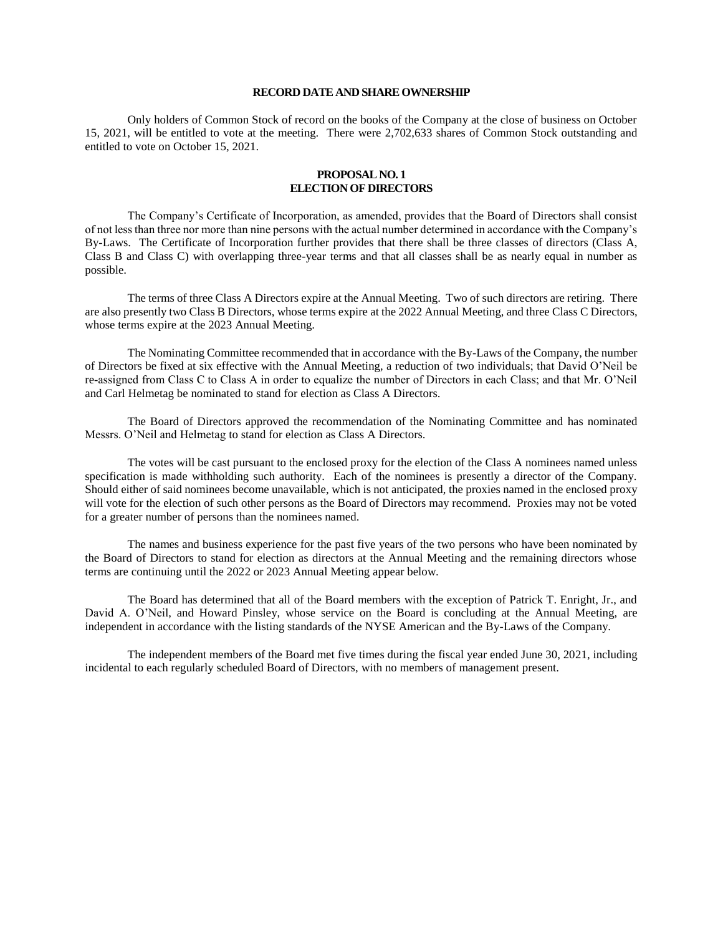#### **RECORD DATE AND SHARE OWNERSHIP**

Only holders of Common Stock of record on the books of the Company at the close of business on October 15, 2021, will be entitled to vote at the meeting. There were 2,702,633 shares of Common Stock outstanding and entitled to vote on October 15, 2021.

## **PROPOSAL NO. 1 ELECTION OF DIRECTORS**

The Company's Certificate of Incorporation, as amended, provides that the Board of Directors shall consist of not less than three nor more than nine persons with the actual number determined in accordance with the Company's By-Laws. The Certificate of Incorporation further provides that there shall be three classes of directors (Class A, Class B and Class C) with overlapping three-year terms and that all classes shall be as nearly equal in number as possible.

The terms of three Class A Directors expire at the Annual Meeting. Two of such directors are retiring. There are also presently two Class B Directors, whose terms expire at the 2022 Annual Meeting, and three Class C Directors, whose terms expire at the 2023 Annual Meeting.

The Nominating Committee recommended that in accordance with the By-Laws of the Company, the number of Directors be fixed at six effective with the Annual Meeting, a reduction of two individuals; that David O'Neil be re-assigned from Class C to Class A in order to equalize the number of Directors in each Class; and that Mr. O'Neil and Carl Helmetag be nominated to stand for election as Class A Directors.

The Board of Directors approved the recommendation of the Nominating Committee and has nominated Messrs. O'Neil and Helmetag to stand for election as Class A Directors.

The votes will be cast pursuant to the enclosed proxy for the election of the Class A nominees named unless specification is made withholding such authority. Each of the nominees is presently a director of the Company. Should either of said nominees become unavailable, which is not anticipated, the proxies named in the enclosed proxy will vote for the election of such other persons as the Board of Directors may recommend. Proxies may not be voted for a greater number of persons than the nominees named.

The names and business experience for the past five years of the two persons who have been nominated by the Board of Directors to stand for election as directors at the Annual Meeting and the remaining directors whose terms are continuing until the 2022 or 2023 Annual Meeting appear below.

The Board has determined that all of the Board members with the exception of Patrick T. Enright, Jr., and David A. O'Neil, and Howard Pinsley, whose service on the Board is concluding at the Annual Meeting, are independent in accordance with the listing standards of the NYSE American and the By-Laws of the Company.

The independent members of the Board met five times during the fiscal year ended June 30, 2021, including incidental to each regularly scheduled Board of Directors, with no members of management present.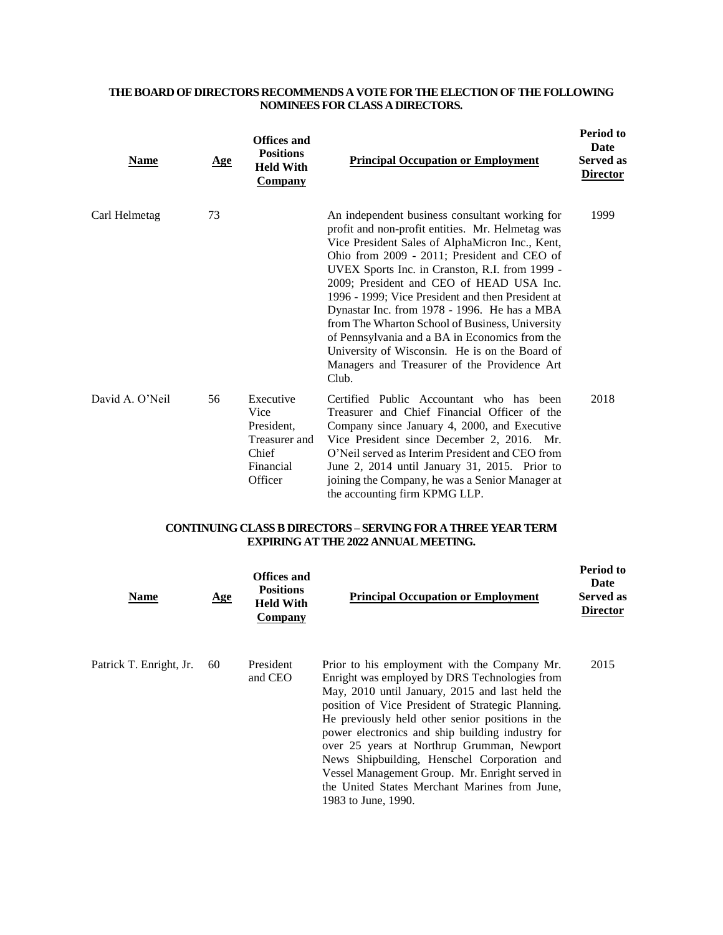# **THE BOARD OF DIRECTORS RECOMMENDS A VOTEFOR THE ELECTION OFTHE FOLLOWING NOMINEES FOR CLASS A DIRECTORS.**

| <u>Name</u>     | <u>Age</u> | <b>Offices and</b><br><b>Positions</b><br><b>Held With</b><br><b>Company</b>      | <b>Principal Occupation or Employment</b>                                                                                                                                                                                                                                                                                                                                                                                                                                                                                                                                                                               | <b>Period to</b><br>Date<br><b>Served as</b><br><b>Director</b> |
|-----------------|------------|-----------------------------------------------------------------------------------|-------------------------------------------------------------------------------------------------------------------------------------------------------------------------------------------------------------------------------------------------------------------------------------------------------------------------------------------------------------------------------------------------------------------------------------------------------------------------------------------------------------------------------------------------------------------------------------------------------------------------|-----------------------------------------------------------------|
| Carl Helmetag   | 73         |                                                                                   | An independent business consultant working for<br>profit and non-profit entities. Mr. Helmetag was<br>Vice President Sales of AlphaMicron Inc., Kent,<br>Ohio from 2009 - 2011; President and CEO of<br>UVEX Sports Inc. in Cranston, R.I. from 1999 -<br>2009; President and CEO of HEAD USA Inc.<br>1996 - 1999; Vice President and then President at<br>Dynastar Inc. from 1978 - 1996. He has a MBA<br>from The Wharton School of Business, University<br>of Pennsylvania and a BA in Economics from the<br>University of Wisconsin. He is on the Board of<br>Managers and Treasurer of the Providence Art<br>Club. | 1999                                                            |
| David A. O'Neil | 56         | Executive<br>Vice<br>President,<br>Treasurer and<br>Chief<br>Financial<br>Officer | Certified Public Accountant who has been<br>Treasurer and Chief Financial Officer of the<br>Company since January 4, 2000, and Executive<br>Vice President since December 2, 2016. Mr.<br>O'Neil served as Interim President and CEO from<br>June 2, 2014 until January 31, 2015. Prior to<br>joining the Company, he was a Senior Manager at<br>the accounting firm KPMG LLP.                                                                                                                                                                                                                                          | 2018                                                            |

# **CONTINUING CLASS B DIRECTORS – SERVING FOR A THREE YEAR TERM EXPIRING AT THE 2022 ANNUAL MEETING.**

| Name                    | <u>Age</u> | Offices and<br><b>Positions</b><br><b>Held With</b><br><b>Company</b> | <b>Principal Occupation or Employment</b>                                                                                                                                                                                                                                                                                                                                                                                                                                                                                            | <b>Period to</b><br>Date<br>Served as<br><b>Director</b> |
|-------------------------|------------|-----------------------------------------------------------------------|--------------------------------------------------------------------------------------------------------------------------------------------------------------------------------------------------------------------------------------------------------------------------------------------------------------------------------------------------------------------------------------------------------------------------------------------------------------------------------------------------------------------------------------|----------------------------------------------------------|
| Patrick T. Enright, Jr. | 60         | President<br>and CEO                                                  | Prior to his employment with the Company Mr.<br>Enright was employed by DRS Technologies from<br>May, 2010 until January, 2015 and last held the<br>position of Vice President of Strategic Planning.<br>He previously held other senior positions in the<br>power electronics and ship building industry for<br>over 25 years at Northrup Grumman, Newport<br>News Shipbuilding, Henschel Corporation and<br>Vessel Management Group. Mr. Enright served in<br>the United States Merchant Marines from June,<br>1983 to June, 1990. | 2015                                                     |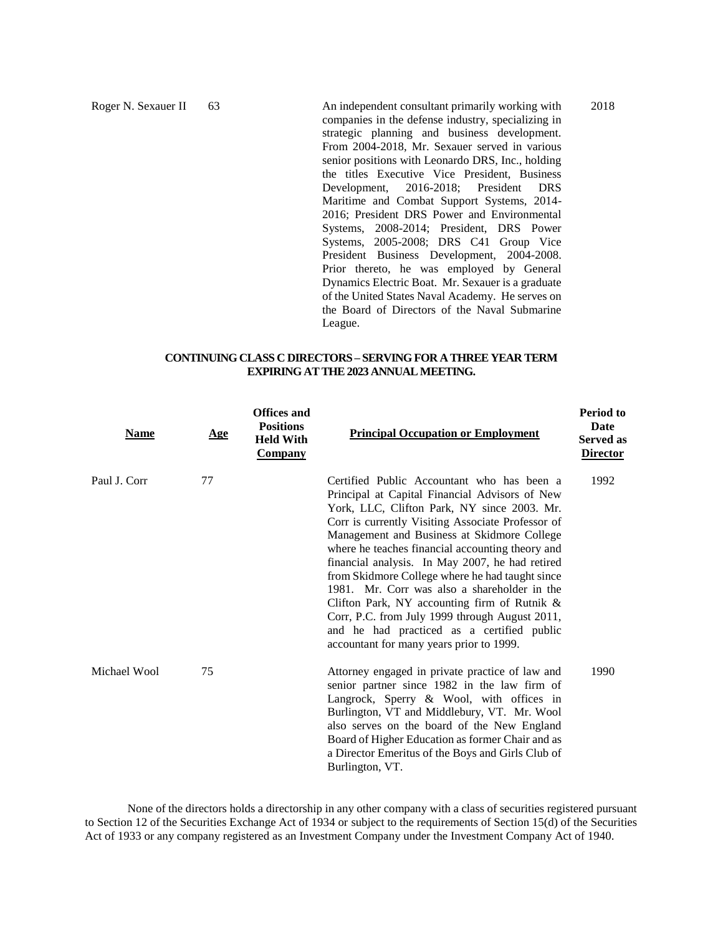Roger N. Sexauer II 63 An independent consultant primarily working with companies in the defense industry, specializing in strategic planning and business development. From 2004-2018, Mr. Sexauer served in various senior positions with Leonardo DRS, Inc., holding the titles Executive Vice President, Business Development, 2016-2018; President DRS Maritime and Combat Support Systems, 2014- 2016; President DRS Power and Environmental Systems, 2008-2014; President, DRS Power Systems, 2005-2008; DRS C41 Group Vice President Business Development, 2004-2008. Prior thereto, he was employed by General Dynamics Electric Boat. Mr. Sexauer is a graduate of the United States Naval Academy. He serves on the Board of Directors of the Naval Submarine League.

2018

## **CONTINUING CLASS C DIRECTORS – SERVINGFOR A THREE YEAR TERM EXPIRING AT THE 2023 ANNUAL MEETING.**

| <b>Name</b>  | <u>Age</u> | <b>Offices and</b><br><b>Positions</b><br><b>Held With</b><br><b>Company</b> | <b>Principal Occupation or Employment</b>                                                                                                                                                                                                                                                                                                                                                                                                                                                                                                                                                                                                                | <b>Period to</b><br><b>Date</b><br><b>Served as</b><br><b>Director</b> |
|--------------|------------|------------------------------------------------------------------------------|----------------------------------------------------------------------------------------------------------------------------------------------------------------------------------------------------------------------------------------------------------------------------------------------------------------------------------------------------------------------------------------------------------------------------------------------------------------------------------------------------------------------------------------------------------------------------------------------------------------------------------------------------------|------------------------------------------------------------------------|
| Paul J. Corr | 77         |                                                                              | Certified Public Accountant who has been a<br>Principal at Capital Financial Advisors of New<br>York, LLC, Clifton Park, NY since 2003. Mr.<br>Corr is currently Visiting Associate Professor of<br>Management and Business at Skidmore College<br>where he teaches financial accounting theory and<br>financial analysis. In May 2007, he had retired<br>from Skidmore College where he had taught since<br>1981. Mr. Corr was also a shareholder in the<br>Clifton Park, NY accounting firm of Rutnik $\&$<br>Corr, P.C. from July 1999 through August 2011,<br>and he had practiced as a certified public<br>accountant for many years prior to 1999. | 1992                                                                   |
| Michael Wool | 75         |                                                                              | Attorney engaged in private practice of law and<br>senior partner since 1982 in the law firm of<br>Langrock, Sperry & Wool, with offices in<br>Burlington, VT and Middlebury, VT. Mr. Wool<br>also serves on the board of the New England<br>Board of Higher Education as former Chair and as<br>a Director Emeritus of the Boys and Girls Club of<br>Burlington, VT.                                                                                                                                                                                                                                                                                    | 1990                                                                   |

None of the directors holds a directorship in any other company with a class of securities registered pursuant to Section 12 of the Securities Exchange Act of 1934 or subject to the requirements of Section 15(d) of the Securities Act of 1933 or any company registered as an Investment Company under the Investment Company Act of 1940.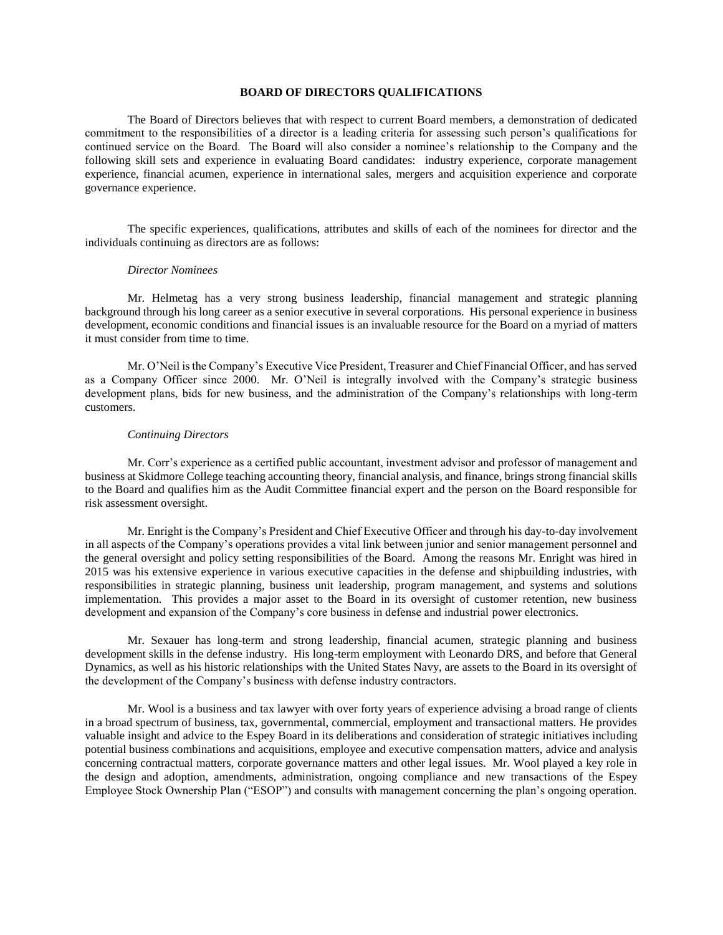## **BOARD OF DIRECTORS QUALIFICATIONS**

The Board of Directors believes that with respect to current Board members, a demonstration of dedicated commitment to the responsibilities of a director is a leading criteria for assessing such person's qualifications for continued service on the Board. The Board will also consider a nominee's relationship to the Company and the following skill sets and experience in evaluating Board candidates: industry experience, corporate management experience, financial acumen, experience in international sales, mergers and acquisition experience and corporate governance experience.

The specific experiences, qualifications, attributes and skills of each of the nominees for director and the individuals continuing as directors are as follows:

#### *Director Nominees*

Mr. Helmetag has a very strong business leadership, financial management and strategic planning background through his long career as a senior executive in several corporations. His personal experience in business development, economic conditions and financial issues is an invaluable resource for the Board on a myriad of matters it must consider from time to time.

Mr. O'Neil is the Company's Executive Vice President, Treasurer and Chief Financial Officer, and has served as a Company Officer since 2000. Mr. O'Neil is integrally involved with the Company's strategic business development plans, bids for new business, and the administration of the Company's relationships with long-term customers.

#### *Continuing Directors*

Mr. Corr's experience as a certified public accountant, investment advisor and professor of management and business at Skidmore College teaching accounting theory, financial analysis, and finance, brings strong financial skills to the Board and qualifies him as the Audit Committee financial expert and the person on the Board responsible for risk assessment oversight.

Mr. Enright is the Company's President and Chief Executive Officer and through his day-to-day involvement in all aspects of the Company's operations provides a vital link between junior and senior management personnel and the general oversight and policy setting responsibilities of the Board. Among the reasons Mr. Enright was hired in 2015 was his extensive experience in various executive capacities in the defense and shipbuilding industries, with responsibilities in strategic planning, business unit leadership, program management, and systems and solutions implementation. This provides a major asset to the Board in its oversight of customer retention, new business development and expansion of the Company's core business in defense and industrial power electronics.

Mr. Sexauer has long-term and strong leadership, financial acumen, strategic planning and business development skills in the defense industry. His long-term employment with Leonardo DRS, and before that General Dynamics, as well as his historic relationships with the United States Navy, are assets to the Board in its oversight of the development of the Company's business with defense industry contractors.

Mr. Wool is a business and tax lawyer with over forty years of experience advising a broad range of clients in a broad spectrum of business, tax, governmental, commercial, employment and transactional matters. He provides valuable insight and advice to the Espey Board in its deliberations and consideration of strategic initiatives including potential business combinations and acquisitions, employee and executive compensation matters, advice and analysis concerning contractual matters, corporate governance matters and other legal issues. Mr. Wool played a key role in the design and adoption, amendments, administration, ongoing compliance and new transactions of the Espey Employee Stock Ownership Plan ("ESOP") and consults with management concerning the plan's ongoing operation.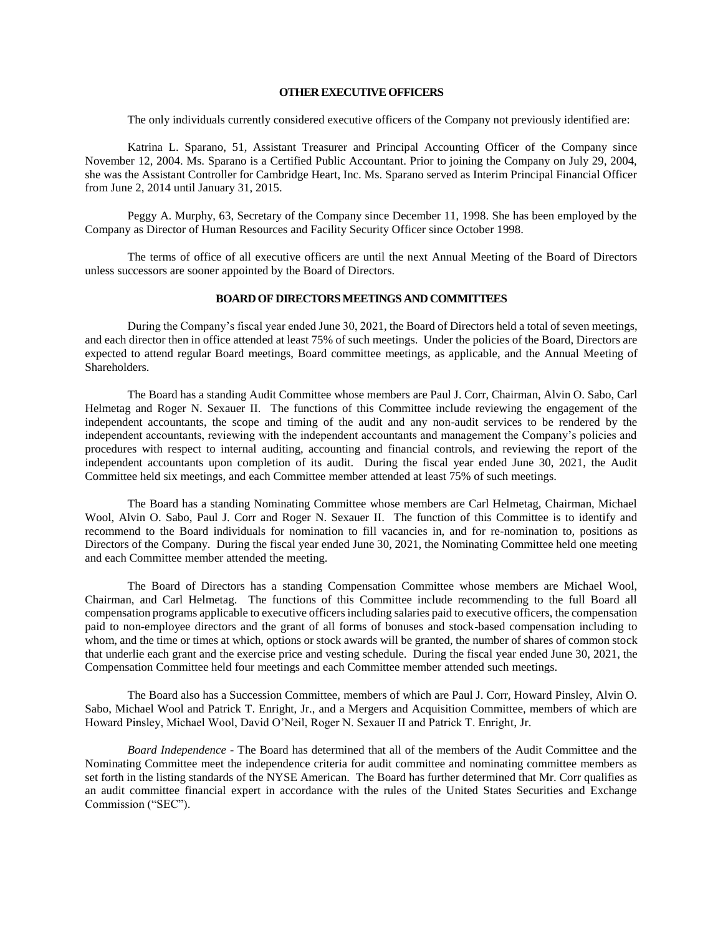#### **OTHER EXECUTIVE OFFICERS**

The only individuals currently considered executive officers of the Company not previously identified are:

Katrina L. Sparano, 51, Assistant Treasurer and Principal Accounting Officer of the Company since November 12, 2004. Ms. Sparano is a Certified Public Accountant. Prior to joining the Company on July 29, 2004, she was the Assistant Controller for Cambridge Heart, Inc. Ms. Sparano served as Interim Principal Financial Officer from June 2, 2014 until January 31, 2015.

Peggy A. Murphy, 63, Secretary of the Company since December 11, 1998. She has been employed by the Company as Director of Human Resources and Facility Security Officer since October 1998.

The terms of office of all executive officers are until the next Annual Meeting of the Board of Directors unless successors are sooner appointed by the Board of Directors.

#### **BOARD OF DIRECTORS MEETINGS AND COMMITTEES**

During the Company's fiscal year ended June 30, 2021, the Board of Directors held a total of seven meetings, and each director then in office attended at least 75% of such meetings. Under the policies of the Board, Directors are expected to attend regular Board meetings, Board committee meetings, as applicable, and the Annual Meeting of Shareholders.

The Board has a standing Audit Committee whose members are Paul J. Corr, Chairman, Alvin O. Sabo, Carl Helmetag and Roger N. Sexauer II. The functions of this Committee include reviewing the engagement of the independent accountants, the scope and timing of the audit and any non-audit services to be rendered by the independent accountants, reviewing with the independent accountants and management the Company's policies and procedures with respect to internal auditing, accounting and financial controls, and reviewing the report of the independent accountants upon completion of its audit. During the fiscal year ended June 30, 2021, the Audit Committee held six meetings, and each Committee member attended at least 75% of such meetings.

The Board has a standing Nominating Committee whose members are Carl Helmetag, Chairman, Michael Wool, Alvin O. Sabo, Paul J. Corr and Roger N. Sexauer II. The function of this Committee is to identify and recommend to the Board individuals for nomination to fill vacancies in, and for re-nomination to, positions as Directors of the Company. During the fiscal year ended June 30, 2021, the Nominating Committee held one meeting and each Committee member attended the meeting.

The Board of Directors has a standing Compensation Committee whose members are Michael Wool, Chairman, and Carl Helmetag. The functions of this Committee include recommending to the full Board all compensation programs applicable to executive officers including salaries paid to executive officers, the compensation paid to non-employee directors and the grant of all forms of bonuses and stock-based compensation including to whom, and the time or times at which, options or stock awards will be granted, the number of shares of common stock that underlie each grant and the exercise price and vesting schedule. During the fiscal year ended June 30, 2021, the Compensation Committee held four meetings and each Committee member attended such meetings.

The Board also has a Succession Committee, members of which are Paul J. Corr, Howard Pinsley, Alvin O. Sabo, Michael Wool and Patrick T. Enright, Jr., and a Mergers and Acquisition Committee, members of which are Howard Pinsley, Michael Wool, David O'Neil, Roger N. Sexauer II and Patrick T. Enright, Jr.

*Board Independence* - The Board has determined that all of the members of the Audit Committee and the Nominating Committee meet the independence criteria for audit committee and nominating committee members as set forth in the listing standards of the NYSE American. The Board has further determined that Mr. Corr qualifies as an audit committee financial expert in accordance with the rules of the United States Securities and Exchange Commission ("SEC").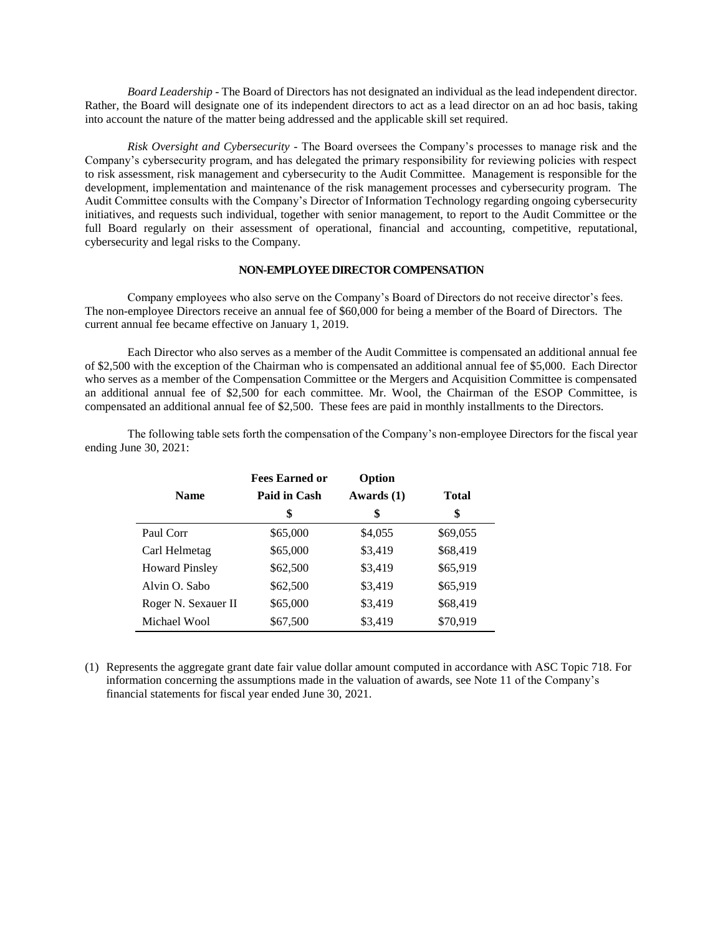*Board Leadership* - The Board of Directors has not designated an individual as the lead independent director. Rather, the Board will designate one of its independent directors to act as a lead director on an ad hoc basis, taking into account the nature of the matter being addressed and the applicable skill set required.

*Risk Oversight and Cybersecurity* - The Board oversees the Company's processes to manage risk and the Company's cybersecurity program, and has delegated the primary responsibility for reviewing policies with respect to risk assessment, risk management and cybersecurity to the Audit Committee. Management is responsible for the development, implementation and maintenance of the risk management processes and cybersecurity program. The Audit Committee consults with the Company's Director of Information Technology regarding ongoing cybersecurity initiatives, and requests such individual, together with senior management, to report to the Audit Committee or the full Board regularly on their assessment of operational, financial and accounting, competitive, reputational, cybersecurity and legal risks to the Company.

## **NON-EMPLOYEE DIRECTOR COMPENSATION**

Company employees who also serve on the Company's Board of Directors do not receive director's fees. The non-employee Directors receive an annual fee of \$60,000 for being a member of the Board of Directors. The current annual fee became effective on January 1, 2019.

Each Director who also serves as a member of the Audit Committee is compensated an additional annual fee of \$2,500 with the exception of the Chairman who is compensated an additional annual fee of \$5,000. Each Director who serves as a member of the Compensation Committee or the Mergers and Acquisition Committee is compensated an additional annual fee of \$2,500 for each committee. Mr. Wool, the Chairman of the ESOP Committee, is compensated an additional annual fee of \$2,500. These fees are paid in monthly installments to the Directors.

The following table sets forth the compensation of the Company's non-employee Directors for the fiscal year ending June 30, 2021:

|                       | <b>Fees Earned or</b> | Option       |              |
|-----------------------|-----------------------|--------------|--------------|
| <b>Name</b>           | Paid in Cash          | Awards $(1)$ | <b>Total</b> |
|                       | \$                    | \$           | \$           |
| Paul Corr             | \$65,000              | \$4,055      | \$69,055     |
| Carl Helmetag         | \$65,000              | \$3,419      | \$68,419     |
| <b>Howard Pinsley</b> | \$62,500              | \$3,419      | \$65,919     |
| Alvin O. Sabo         | \$62,500              | \$3,419      | \$65,919     |
| Roger N. Sexauer II   | \$65,000              | \$3,419      | \$68,419     |
| Michael Wool          | \$67,500              | \$3,419      | \$70,919     |

(1) Represents the aggregate grant date fair value dollar amount computed in accordance with ASC Topic 718. For information concerning the assumptions made in the valuation of awards, see Note 11 of the Company's financial statements for fiscal year ended June 30, 2021.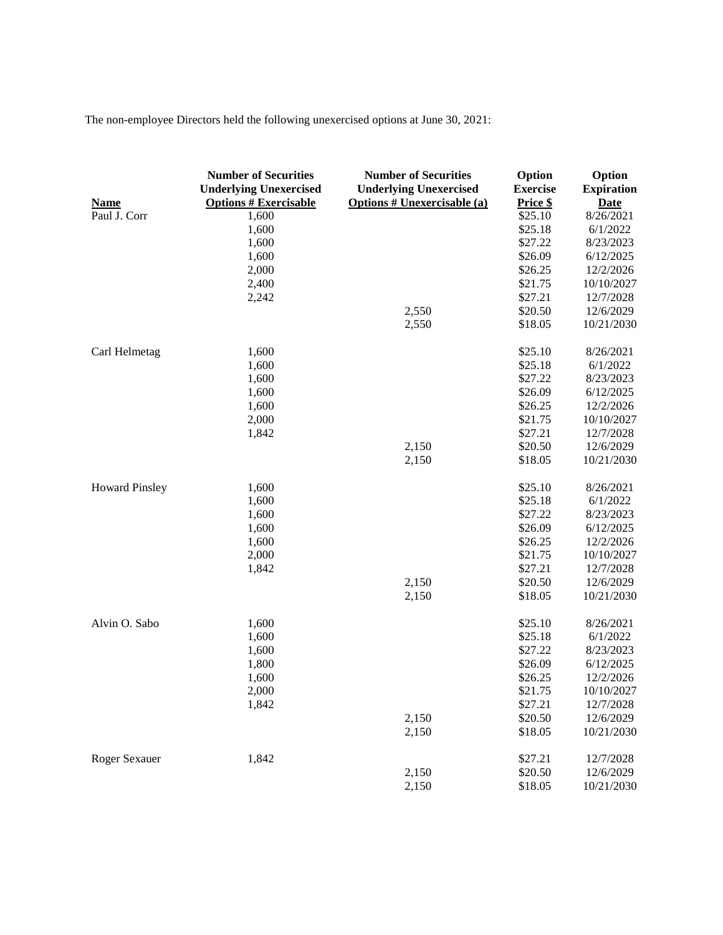The non-employee Directors held the following unexercised options at June 30, 2021:

| <b>Name</b>           | <b>Number of Securities</b><br><b>Underlying Unexercised</b><br><b>Options # Exercisable</b> | <b>Number of Securities</b><br><b>Underlying Unexercised</b><br><b>Options # Unexercisable (a)</b> | Option<br><b>Exercise</b><br>Price \$ | Option<br><b>Expiration</b><br><b>Date</b> |
|-----------------------|----------------------------------------------------------------------------------------------|----------------------------------------------------------------------------------------------------|---------------------------------------|--------------------------------------------|
| Paul J. Corr          | 1,600                                                                                        |                                                                                                    | \$25.10                               | 8/26/2021                                  |
|                       | 1,600                                                                                        |                                                                                                    | \$25.18                               | 6/1/2022                                   |
|                       | 1,600                                                                                        |                                                                                                    | \$27.22                               | 8/23/2023                                  |
|                       | 1,600                                                                                        |                                                                                                    | \$26.09                               | 6/12/2025                                  |
|                       | 2,000                                                                                        |                                                                                                    | \$26.25                               | 12/2/2026                                  |
|                       | 2,400                                                                                        |                                                                                                    | \$21.75                               | 10/10/2027                                 |
|                       | 2,242                                                                                        |                                                                                                    | \$27.21                               | 12/7/2028                                  |
|                       |                                                                                              | 2,550                                                                                              | \$20.50                               | 12/6/2029                                  |
|                       |                                                                                              | 2,550                                                                                              | \$18.05                               | 10/21/2030                                 |
| Carl Helmetag         | 1,600                                                                                        |                                                                                                    | \$25.10                               | 8/26/2021                                  |
|                       | 1,600                                                                                        |                                                                                                    | \$25.18                               | 6/1/2022                                   |
|                       | 1,600                                                                                        |                                                                                                    | \$27.22                               | 8/23/2023                                  |
|                       | 1,600                                                                                        |                                                                                                    | \$26.09                               | 6/12/2025                                  |
|                       | 1,600                                                                                        |                                                                                                    | \$26.25                               | 12/2/2026                                  |
|                       | 2,000                                                                                        |                                                                                                    | \$21.75                               | 10/10/2027                                 |
|                       | 1,842                                                                                        |                                                                                                    | \$27.21                               | 12/7/2028                                  |
|                       |                                                                                              | 2,150                                                                                              | \$20.50                               | 12/6/2029                                  |
|                       |                                                                                              | 2,150                                                                                              | \$18.05                               | 10/21/2030                                 |
| <b>Howard Pinsley</b> | 1,600                                                                                        |                                                                                                    | \$25.10                               | 8/26/2021                                  |
|                       | 1,600                                                                                        |                                                                                                    | \$25.18                               | 6/1/2022                                   |
|                       | 1,600                                                                                        |                                                                                                    | \$27.22                               | 8/23/2023                                  |
|                       | 1,600                                                                                        |                                                                                                    | \$26.09                               | 6/12/2025                                  |
|                       | 1,600                                                                                        |                                                                                                    | \$26.25                               | 12/2/2026                                  |
|                       | 2,000                                                                                        |                                                                                                    | \$21.75                               | 10/10/2027                                 |
|                       | 1,842                                                                                        |                                                                                                    | \$27.21                               | 12/7/2028                                  |
|                       |                                                                                              | 2,150                                                                                              | \$20.50                               | 12/6/2029                                  |
|                       |                                                                                              | 2,150                                                                                              | \$18.05                               | 10/21/2030                                 |
| Alvin O. Sabo         | 1,600                                                                                        |                                                                                                    | \$25.10                               | 8/26/2021                                  |
|                       | 1,600                                                                                        |                                                                                                    | \$25.18                               | 6/1/2022                                   |
|                       | 1,600                                                                                        |                                                                                                    | \$27.22                               | 8/23/2023                                  |
|                       | 1,800                                                                                        |                                                                                                    | \$26.09                               | 6/12/2025                                  |
|                       | 1,600                                                                                        |                                                                                                    | \$26.25                               | 12/2/2026                                  |
|                       | 2,000                                                                                        |                                                                                                    | \$21.75                               | 10/10/2027                                 |
|                       | 1,842                                                                                        |                                                                                                    | \$27.21                               | 12/7/2028                                  |
|                       |                                                                                              | 2,150                                                                                              | \$20.50                               | 12/6/2029                                  |
|                       |                                                                                              | 2,150                                                                                              | \$18.05                               | 10/21/2030                                 |
| Roger Sexauer         | 1,842                                                                                        |                                                                                                    | \$27.21                               | 12/7/2028                                  |
|                       |                                                                                              | 2,150                                                                                              | \$20.50                               | 12/6/2029                                  |
|                       |                                                                                              | 2,150                                                                                              | \$18.05                               | 10/21/2030                                 |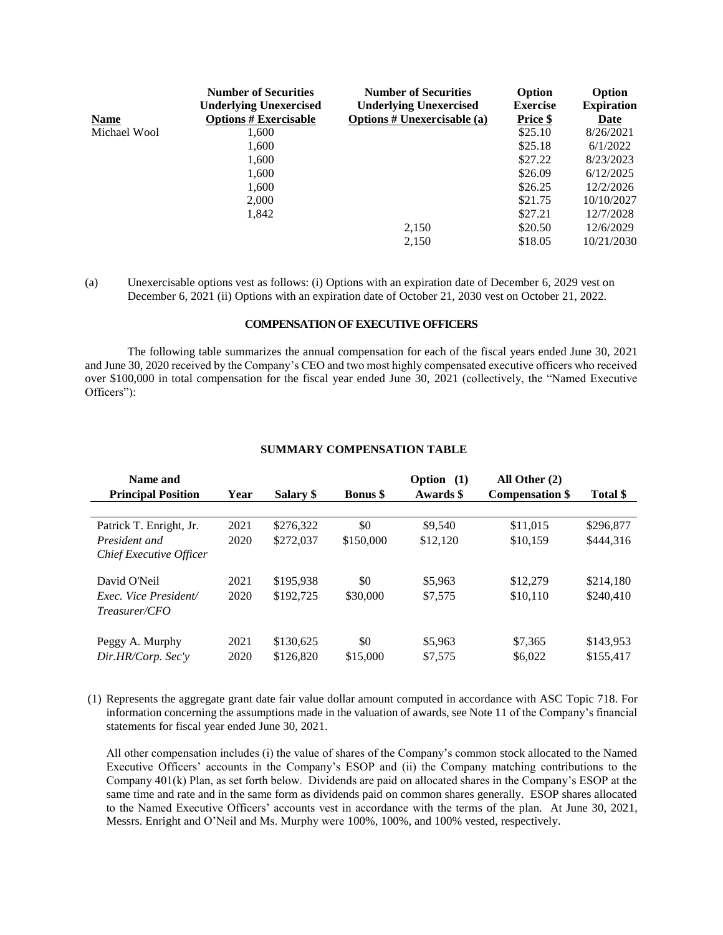| Date       |
|------------|
| 8/26/2021  |
| 6/1/2022   |
| 8/23/2023  |
| 6/12/2025  |
| 12/2/2026  |
| 10/10/2027 |
| 12/7/2028  |
| 12/6/2029  |
| 10/21/2030 |
|            |

<sup>(</sup>a) Unexercisable options vest as follows: (i) Options with an expiration date of December 6, 2029 vest on December 6, 2021 (ii) Options with an expiration date of October 21, 2030 vest on October 21, 2022.

#### **COMPENSATION OF EXECUTIVE OFFICERS**

The following table summarizes the annual compensation for each of the fiscal years ended June 30, 2021 and June 30, 2020 received by the Company's CEO and two most highly compensated executive officers who received over \$100,000 in total compensation for the fiscal year ended June 30, 2021 (collectively, the "Named Executive Officers"):

| Name and<br><b>Principal Position</b>        | Year         | Salary \$              | <b>Bonus</b> \$ | Option (1)<br>Awards \$ | All Other $(2)$<br><b>Compensation \$</b> | Total \$               |
|----------------------------------------------|--------------|------------------------|-----------------|-------------------------|-------------------------------------------|------------------------|
|                                              |              |                        |                 |                         |                                           |                        |
| Patrick T. Enright, Jr.                      | 2021         | \$276,322              | \$0             | \$9,540                 | \$11,015                                  | \$296,877              |
| President and<br>Chief Executive Officer     | 2020         | \$272,037              | \$150,000       | \$12,120                | \$10,159                                  | \$444.316              |
| David O'Neil                                 | 2021         | \$195,938              | \$0             | \$5,963                 | \$12,279                                  | \$214,180              |
| Exec. Vice President/<br>$T$ reasurer/ $CFO$ | 2020         | \$192,725              | \$30,000        | \$7,575                 | \$10,110                                  | \$240,410              |
| Peggy A. Murphy<br>Dir.HR/Corp. Sec'y        | 2021<br>2020 | \$130,625<br>\$126,820 | \$0<br>\$15,000 | \$5,963<br>\$7,575      | \$7,365<br>\$6,022                        | \$143,953<br>\$155.417 |

## **SUMMARY COMPENSATION TABLE**

(1) Represents the aggregate grant date fair value dollar amount computed in accordance with ASC Topic 718. For information concerning the assumptions made in the valuation of awards, see Note 11 of the Company's financial statements for fiscal year ended June 30, 2021.

All other compensation includes (i) the value of shares of the Company's common stock allocated to the Named Executive Officers' accounts in the Company's ESOP and (ii) the Company matching contributions to the Company 401(k) Plan, as set forth below. Dividends are paid on allocated shares in the Company's ESOP at the same time and rate and in the same form as dividends paid on common shares generally. ESOP shares allocated to the Named Executive Officers' accounts vest in accordance with the terms of the plan. At June 30, 2021, Messrs. Enright and O'Neil and Ms. Murphy were 100%, 100%, and 100% vested, respectively.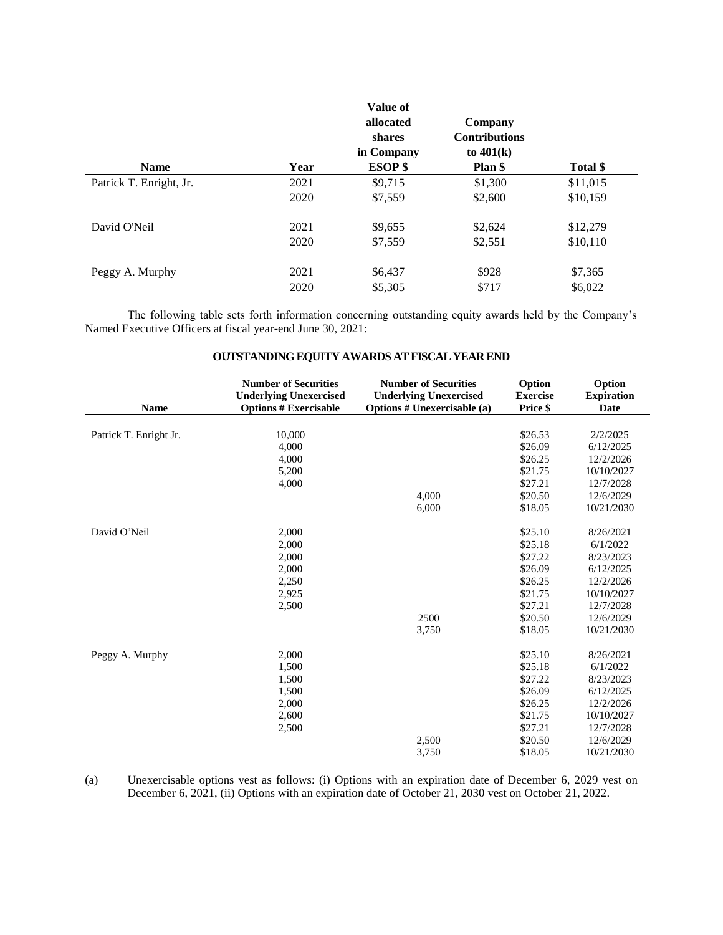|                         |      | Value of<br>allocated<br>shares<br>in Company | Company<br><b>Contributions</b><br>to $401(k)$ |          |
|-------------------------|------|-----------------------------------------------|------------------------------------------------|----------|
| <b>Name</b>             | Year | <b>ESOP</b> \$                                | Plan \$                                        | Total \$ |
| Patrick T. Enright, Jr. | 2021 | \$9,715                                       | \$1,300                                        | \$11,015 |
|                         | 2020 | \$7,559                                       | \$2,600                                        | \$10,159 |
| David O'Neil            | 2021 | \$9,655                                       | \$2,624                                        | \$12,279 |
|                         | 2020 | \$7,559                                       | \$2,551                                        | \$10,110 |
| Peggy A. Murphy         | 2021 | \$6,437                                       | \$928                                          | \$7,365  |
|                         | 2020 | \$5,305                                       | \$717                                          | \$6,022  |

The following table sets forth information concerning outstanding equity awards held by the Company's Named Executive Officers at fiscal year-end June 30, 2021:

| <b>Name</b>            | <b>Number of Securities</b><br><b>Underlying Unexercised</b><br><b>Options # Exercisable</b> | <b>Number of Securities</b><br><b>Underlying Unexercised</b><br><b>Options # Unexercisable (a)</b> | Option<br><b>Exercise</b><br>Price \$ | Option<br><b>Expiration</b><br>Date |
|------------------------|----------------------------------------------------------------------------------------------|----------------------------------------------------------------------------------------------------|---------------------------------------|-------------------------------------|
|                        |                                                                                              |                                                                                                    |                                       |                                     |
| Patrick T. Enright Jr. | 10,000                                                                                       |                                                                                                    | \$26.53                               | 2/2/2025                            |
|                        | 4,000                                                                                        |                                                                                                    | \$26.09                               | 6/12/2025                           |
|                        | 4,000                                                                                        |                                                                                                    | \$26.25                               | 12/2/2026                           |
|                        | 5,200                                                                                        |                                                                                                    | \$21.75                               | 10/10/2027                          |
|                        | 4,000                                                                                        |                                                                                                    | \$27.21                               | 12/7/2028                           |
|                        |                                                                                              | 4,000                                                                                              | \$20.50                               | 12/6/2029                           |
|                        |                                                                                              | 6,000                                                                                              | \$18.05                               | 10/21/2030                          |
| David O'Neil           | 2,000                                                                                        |                                                                                                    | \$25.10                               | 8/26/2021                           |
|                        | 2,000                                                                                        |                                                                                                    | \$25.18                               | 6/1/2022                            |
|                        | 2,000                                                                                        |                                                                                                    | \$27.22                               | 8/23/2023                           |
|                        | 2,000                                                                                        |                                                                                                    | \$26.09                               | 6/12/2025                           |
|                        | 2,250                                                                                        |                                                                                                    | \$26.25                               | 12/2/2026                           |
|                        | 2,925                                                                                        |                                                                                                    | \$21.75                               | 10/10/2027                          |
|                        | 2,500                                                                                        |                                                                                                    | \$27.21                               | 12/7/2028                           |
|                        |                                                                                              | 2500                                                                                               | \$20.50                               | 12/6/2029                           |
|                        |                                                                                              | 3,750                                                                                              | \$18.05                               | 10/21/2030                          |
| Peggy A. Murphy        | 2,000                                                                                        |                                                                                                    | \$25.10                               | 8/26/2021                           |
|                        | 1,500                                                                                        |                                                                                                    | \$25.18                               | 6/1/2022                            |
|                        | 1,500                                                                                        |                                                                                                    | \$27.22                               | 8/23/2023                           |
|                        | 1,500                                                                                        |                                                                                                    | \$26.09                               | 6/12/2025                           |
|                        | 2,000                                                                                        |                                                                                                    | \$26.25                               | 12/2/2026                           |
|                        | 2,600                                                                                        |                                                                                                    | \$21.75                               | 10/10/2027                          |
|                        | 2,500                                                                                        |                                                                                                    | \$27.21                               | 12/7/2028                           |
|                        |                                                                                              | 2,500                                                                                              | \$20.50                               | 12/6/2029                           |
|                        |                                                                                              | 3,750                                                                                              | \$18.05                               | 10/21/2030                          |

## **OUTSTANDING EQUITY AWARDS AT FISCAL YEAR END**

(a) Unexercisable options vest as follows: (i) Options with an expiration date of December 6, 2029 vest on December 6, 2021, (ii) Options with an expiration date of October 21, 2030 vest on October 21, 2022.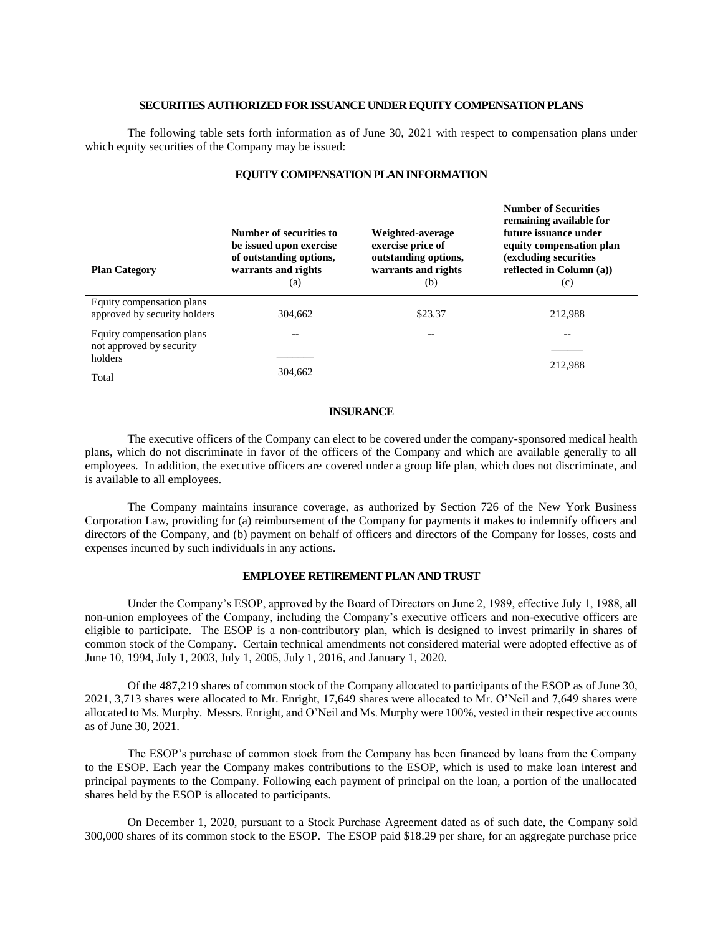#### **SECURITIES AUTHORIZED FOR ISSUANCE UNDER EQUITY COMPENSATION PLANS**

The following table sets forth information as of June 30, 2021 with respect to compensation plans under which equity securities of the Company may be issued:

| <b>Plan Category</b>                                      | Number of securities to<br>be issued upon exercise<br>of outstanding options,<br>warrants and rights | Weighted-average<br>exercise price of<br>outstanding options,<br>warrants and rights | $\cdots$<br>remaining available for<br>future issuance under<br>equity compensation plan<br>(excluding securities)<br>reflected in Column (a)) |
|-----------------------------------------------------------|------------------------------------------------------------------------------------------------------|--------------------------------------------------------------------------------------|------------------------------------------------------------------------------------------------------------------------------------------------|
|                                                           | (a)                                                                                                  | (b)                                                                                  | (c)                                                                                                                                            |
| Equity compensation plans<br>approved by security holders | 304,662                                                                                              | \$23.37                                                                              | 212.988                                                                                                                                        |
| Equity compensation plans                                 | --                                                                                                   |                                                                                      | --                                                                                                                                             |
| not approved by security<br>holders                       |                                                                                                      |                                                                                      |                                                                                                                                                |
| Total                                                     | 304.662                                                                                              |                                                                                      | 212.988                                                                                                                                        |

### **EQUITY COMPENSATION PLAN INFORMATION**

**Number of Securities** 

#### **INSURANCE**

The executive officers of the Company can elect to be covered under the company-sponsored medical health plans, which do not discriminate in favor of the officers of the Company and which are available generally to all employees. In addition, the executive officers are covered under a group life plan, which does not discriminate, and is available to all employees.

The Company maintains insurance coverage, as authorized by Section 726 of the New York Business Corporation Law, providing for (a) reimbursement of the Company for payments it makes to indemnify officers and directors of the Company, and (b) payment on behalf of officers and directors of the Company for losses, costs and expenses incurred by such individuals in any actions.

#### **EMPLOYEE RETIREMENT PLAN AND TRUST**

Under the Company's ESOP, approved by the Board of Directors on June 2, 1989, effective July 1, 1988, all non-union employees of the Company, including the Company's executive officers and non-executive officers are eligible to participate. The ESOP is a non-contributory plan, which is designed to invest primarily in shares of common stock of the Company. Certain technical amendments not considered material were adopted effective as of June 10, 1994, July 1, 2003, July 1, 2005, July 1, 2016, and January 1, 2020.

Of the 487,219 shares of common stock of the Company allocated to participants of the ESOP as of June 30, 2021, 3,713 shares were allocated to Mr. Enright, 17,649 shares were allocated to Mr. O'Neil and 7,649 shares were allocated to Ms. Murphy. Messrs. Enright, and O'Neil and Ms. Murphy were 100%, vested in their respective accounts as of June 30, 2021.

The ESOP's purchase of common stock from the Company has been financed by loans from the Company to the ESOP. Each year the Company makes contributions to the ESOP, which is used to make loan interest and principal payments to the Company. Following each payment of principal on the loan, a portion of the unallocated shares held by the ESOP is allocated to participants.

On December 1, 2020, pursuant to a Stock Purchase Agreement dated as of such date, the Company sold 300,000 shares of its common stock to the ESOP. The ESOP paid \$18.29 per share, for an aggregate purchase price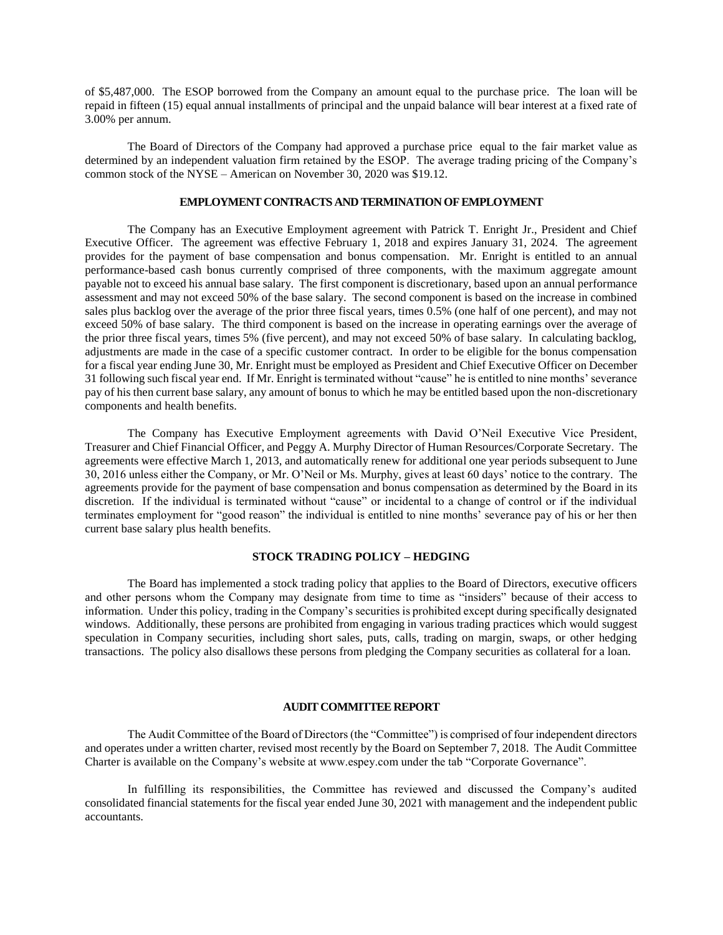of \$5,487,000. The ESOP borrowed from the Company an amount equal to the purchase price. The loan will be repaid in fifteen (15) equal annual installments of principal and the unpaid balance will bear interest at a fixed rate of 3.00% per annum.

The Board of Directors of the Company had approved a purchase price equal to the fair market value as determined by an independent valuation firm retained by the ESOP. The average trading pricing of the Company's common stock of the NYSE – American on November 30, 2020 was \$19.12.

#### **EMPLOYMENT CONTRACTS AND TERMINATION OF EMPLOYMENT**

The Company has an Executive Employment agreement with Patrick T. Enright Jr., President and Chief Executive Officer. The agreement was effective February 1, 2018 and expires January 31, 2024. The agreement provides for the payment of base compensation and bonus compensation. Mr. Enright is entitled to an annual performance-based cash bonus currently comprised of three components, with the maximum aggregate amount payable not to exceed his annual base salary. The first component is discretionary, based upon an annual performance assessment and may not exceed 50% of the base salary. The second component is based on the increase in combined sales plus backlog over the average of the prior three fiscal years, times 0.5% (one half of one percent), and may not exceed 50% of base salary. The third component is based on the increase in operating earnings over the average of the prior three fiscal years, times 5% (five percent), and may not exceed 50% of base salary. In calculating backlog, adjustments are made in the case of a specific customer contract. In order to be eligible for the bonus compensation for a fiscal year ending June 30, Mr. Enright must be employed as President and Chief Executive Officer on December 31 following such fiscal year end. If Mr. Enright is terminated without "cause" he is entitled to nine months' severance pay of his then current base salary, any amount of bonus to which he may be entitled based upon the non-discretionary components and health benefits.

The Company has Executive Employment agreements with David O'Neil Executive Vice President, Treasurer and Chief Financial Officer, and Peggy A. Murphy Director of Human Resources/Corporate Secretary. The agreements were effective March 1, 2013, and automatically renew for additional one year periods subsequent to June 30, 2016 unless either the Company, or Mr. O'Neil or Ms. Murphy, gives at least 60 days' notice to the contrary. The agreements provide for the payment of base compensation and bonus compensation as determined by the Board in its discretion. If the individual is terminated without "cause" or incidental to a change of control or if the individual terminates employment for "good reason" the individual is entitled to nine months' severance pay of his or her then current base salary plus health benefits.

#### **STOCK TRADING POLICY – HEDGING**

The Board has implemented a stock trading policy that applies to the Board of Directors, executive officers and other persons whom the Company may designate from time to time as "insiders" because of their access to information. Under this policy, trading in the Company's securities is prohibited except during specifically designated windows. Additionally, these persons are prohibited from engaging in various trading practices which would suggest speculation in Company securities, including short sales, puts, calls, trading on margin, swaps, or other hedging transactions. The policy also disallows these persons from pledging the Company securities as collateral for a loan.

#### **AUDIT COMMITTEE REPORT**

The Audit Committee of the Board of Directors (the "Committee") is comprised of four independent directors and operates under a written charter, revised most recently by the Board on September 7, 2018. The Audit Committee Charter is available on the Company's website at www.espey.com under the tab "Corporate Governance".

In fulfilling its responsibilities, the Committee has reviewed and discussed the Company's audited consolidated financial statements for the fiscal year ended June 30, 2021 with management and the independent public accountants.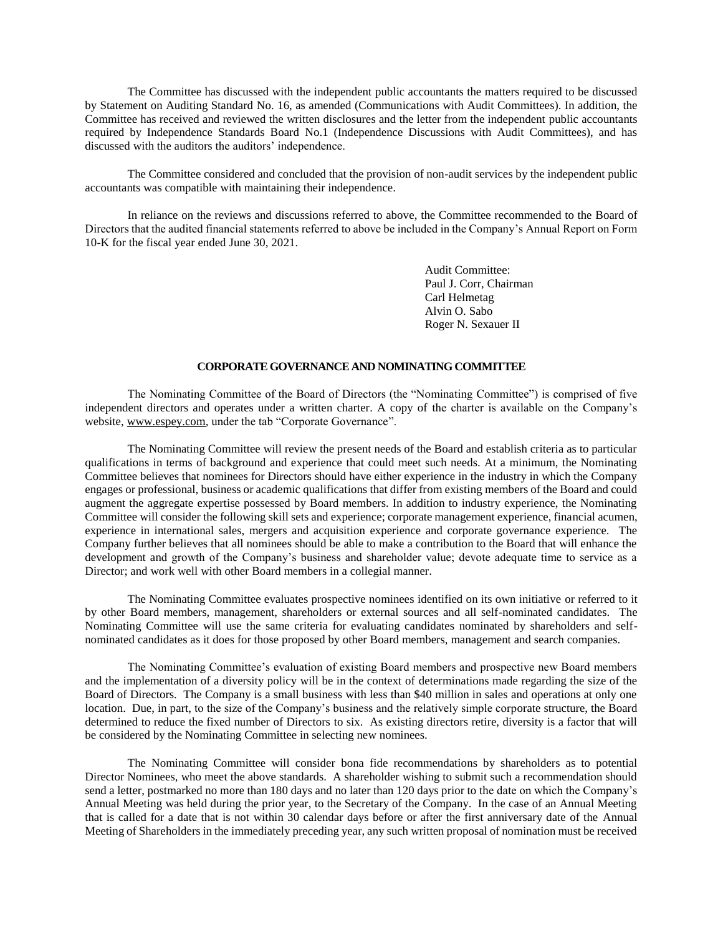The Committee has discussed with the independent public accountants the matters required to be discussed by Statement on Auditing Standard No. 16, as amended (Communications with Audit Committees). In addition, the Committee has received and reviewed the written disclosures and the letter from the independent public accountants required by Independence Standards Board No.1 (Independence Discussions with Audit Committees), and has discussed with the auditors the auditors' independence.

The Committee considered and concluded that the provision of non-audit services by the independent public accountants was compatible with maintaining their independence.

In reliance on the reviews and discussions referred to above, the Committee recommended to the Board of Directors that the audited financial statements referred to above be included in the Company's Annual Report on Form 10-K for the fiscal year ended June 30, 2021.

> Audit Committee: Paul J. Corr, Chairman Carl Helmetag Alvin O. Sabo Roger N. Sexauer II

#### **CORPORATE GOVERNANCE AND NOMINATING COMMITTEE**

The Nominating Committee of the Board of Directors (the "Nominating Committee") is comprised of five independent directors and operates under a written charter. A copy of the charter is available on the Company's website, www.espey.com, under the tab "Corporate Governance".

The Nominating Committee will review the present needs of the Board and establish criteria as to particular qualifications in terms of background and experience that could meet such needs. At a minimum, the Nominating Committee believes that nominees for Directors should have either experience in the industry in which the Company engages or professional, business or academic qualifications that differ from existing members of the Board and could augment the aggregate expertise possessed by Board members. In addition to industry experience, the Nominating Committee will consider the following skill sets and experience; corporate management experience, financial acumen, experience in international sales, mergers and acquisition experience and corporate governance experience. The Company further believes that all nominees should be able to make a contribution to the Board that will enhance the development and growth of the Company's business and shareholder value; devote adequate time to service as a Director; and work well with other Board members in a collegial manner.

The Nominating Committee evaluates prospective nominees identified on its own initiative or referred to it by other Board members, management, shareholders or external sources and all self-nominated candidates. The Nominating Committee will use the same criteria for evaluating candidates nominated by shareholders and selfnominated candidates as it does for those proposed by other Board members, management and search companies.

The Nominating Committee's evaluation of existing Board members and prospective new Board members and the implementation of a diversity policy will be in the context of determinations made regarding the size of the Board of Directors. The Company is a small business with less than \$40 million in sales and operations at only one location. Due, in part, to the size of the Company's business and the relatively simple corporate structure, the Board determined to reduce the fixed number of Directors to six. As existing directors retire, diversity is a factor that will be considered by the Nominating Committee in selecting new nominees.

The Nominating Committee will consider bona fide recommendations by shareholders as to potential Director Nominees, who meet the above standards. A shareholder wishing to submit such a recommendation should send a letter, postmarked no more than 180 days and no later than 120 days prior to the date on which the Company's Annual Meeting was held during the prior year, to the Secretary of the Company. In the case of an Annual Meeting that is called for a date that is not within 30 calendar days before or after the first anniversary date of the Annual Meeting of Shareholders in the immediately preceding year, any such written proposal of nomination must be received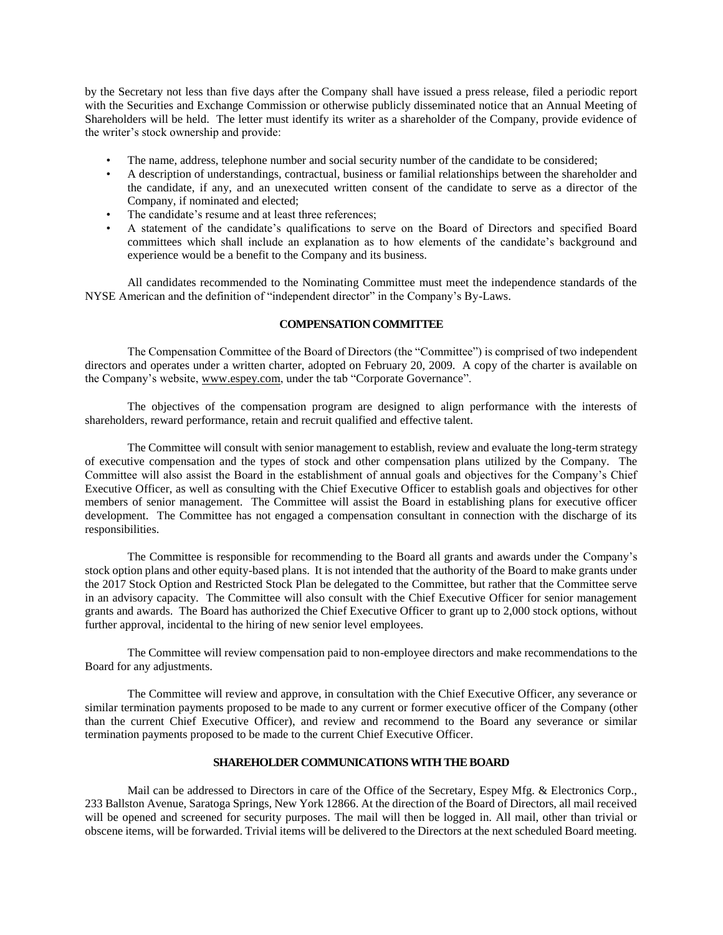by the Secretary not less than five days after the Company shall have issued a press release, filed a periodic report with the Securities and Exchange Commission or otherwise publicly disseminated notice that an Annual Meeting of Shareholders will be held. The letter must identify its writer as a shareholder of the Company, provide evidence of the writer's stock ownership and provide:

- The name, address, telephone number and social security number of the candidate to be considered;
- A description of understandings, contractual, business or familial relationships between the shareholder and the candidate, if any, and an unexecuted written consent of the candidate to serve as a director of the Company, if nominated and elected;
- The candidate's resume and at least three references;
- A statement of the candidate's qualifications to serve on the Board of Directors and specified Board committees which shall include an explanation as to how elements of the candidate's background and experience would be a benefit to the Company and its business.

All candidates recommended to the Nominating Committee must meet the independence standards of the NYSE American and the definition of "independent director" in the Company's By-Laws.

#### **COMPENSATION COMMITTEE**

The Compensation Committee of the Board of Directors (the "Committee") is comprised of two independent directors and operates under a written charter, adopted on February 20, 2009. A copy of the charter is available on the Company's website, www.espey.com, under the tab "Corporate Governance".

The objectives of the compensation program are designed to align performance with the interests of shareholders, reward performance, retain and recruit qualified and effective talent.

The Committee will consult with senior management to establish, review and evaluate the long-term strategy of executive compensation and the types of stock and other compensation plans utilized by the Company. The Committee will also assist the Board in the establishment of annual goals and objectives for the Company's Chief Executive Officer, as well as consulting with the Chief Executive Officer to establish goals and objectives for other members of senior management. The Committee will assist the Board in establishing plans for executive officer development. The Committee has not engaged a compensation consultant in connection with the discharge of its responsibilities.

The Committee is responsible for recommending to the Board all grants and awards under the Company's stock option plans and other equity-based plans. It is not intended that the authority of the Board to make grants under the 2017 Stock Option and Restricted Stock Plan be delegated to the Committee, but rather that the Committee serve in an advisory capacity. The Committee will also consult with the Chief Executive Officer for senior management grants and awards. The Board has authorized the Chief Executive Officer to grant up to 2,000 stock options, without further approval, incidental to the hiring of new senior level employees.

The Committee will review compensation paid to non-employee directors and make recommendations to the Board for any adjustments.

The Committee will review and approve, in consultation with the Chief Executive Officer, any severance or similar termination payments proposed to be made to any current or former executive officer of the Company (other than the current Chief Executive Officer), and review and recommend to the Board any severance or similar termination payments proposed to be made to the current Chief Executive Officer.

# **SHAREHOLDER COMMUNICATIONS WITH THE BOARD**

Mail can be addressed to Directors in care of the Office of the Secretary, Espey Mfg. & Electronics Corp., 233 Ballston Avenue, Saratoga Springs, New York 12866. At the direction of the Board of Directors, all mail received will be opened and screened for security purposes. The mail will then be logged in. All mail, other than trivial or obscene items, will be forwarded. Trivial items will be delivered to the Directors at the next scheduled Board meeting.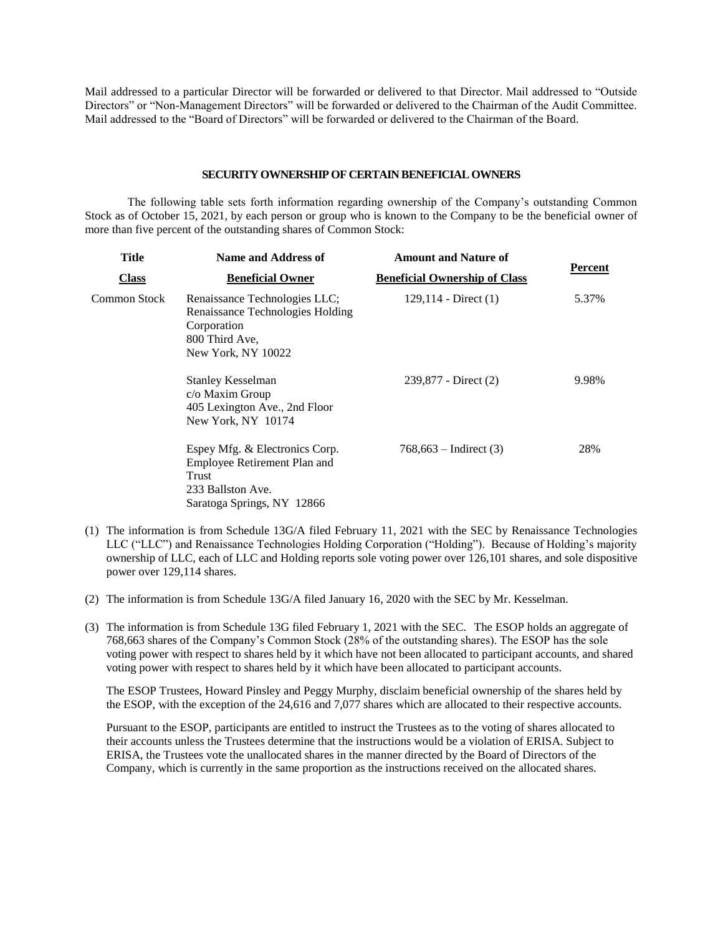Mail addressed to a particular Director will be forwarded or delivered to that Director. Mail addressed to "Outside Directors" or "Non-Management Directors" will be forwarded or delivered to the Chairman of the Audit Committee. Mail addressed to the "Board of Directors" will be forwarded or delivered to the Chairman of the Board.

#### **SECURITY OWNERSHIP OF CERTAIN BENEFICIALOWNERS**

The following table sets forth information regarding ownership of the Company's outstanding Common Stock as of October 15, 2021, by each person or group who is known to the Company to be the beneficial owner of more than five percent of the outstanding shares of Common Stock:

| Title        | <b>Name and Address of</b>                                                                                                 | <b>Amount and Nature of</b>          |         |  |
|--------------|----------------------------------------------------------------------------------------------------------------------------|--------------------------------------|---------|--|
| <b>Class</b> | <b>Beneficial Owner</b>                                                                                                    | <b>Beneficial Ownership of Class</b> | Percent |  |
| Common Stock | Renaissance Technologies LLC;<br>Renaissance Technologies Holding<br>Corporation<br>800 Third Ave.<br>New York, NY 10022   | 129,114 - Direct $(1)$               | 5.37%   |  |
|              | Stanley Kesselman<br>c/o Maxim Group<br>405 Lexington Ave., 2nd Floor<br>New York, NY 10174                                | $239,877$ - Direct $(2)$             | 9.98%   |  |
|              | Espey Mfg. & Electronics Corp.<br>Employee Retirement Plan and<br>Trust<br>233 Ballston Ave.<br>Saratoga Springs, NY 12866 | $768,663 - Indirect (3)$             | 28%     |  |

- (1) The information is from Schedule 13G/A filed February 11, 2021 with the SEC by Renaissance Technologies LLC ("LLC") and Renaissance Technologies Holding Corporation ("Holding"). Because of Holding's majority ownership of LLC, each of LLC and Holding reports sole voting power over 126,101 shares, and sole dispositive power over 129,114 shares.
- (2) The information is from Schedule 13G/A filed January 16, 2020 with the SEC by Mr. Kesselman.
- (3) The information is from Schedule 13G filed February 1, 2021 with the SEC. The ESOP holds an aggregate of 768,663 shares of the Company's Common Stock (28% of the outstanding shares). The ESOP has the sole voting power with respect to shares held by it which have not been allocated to participant accounts, and shared voting power with respect to shares held by it which have been allocated to participant accounts.

The ESOP Trustees, Howard Pinsley and Peggy Murphy, disclaim beneficial ownership of the shares held by the ESOP, with the exception of the 24,616 and 7,077 shares which are allocated to their respective accounts.

Pursuant to the ESOP, participants are entitled to instruct the Trustees as to the voting of shares allocated to their accounts unless the Trustees determine that the instructions would be a violation of ERISA. Subject to ERISA, the Trustees vote the unallocated shares in the manner directed by the Board of Directors of the Company, which is currently in the same proportion as the instructions received on the allocated shares.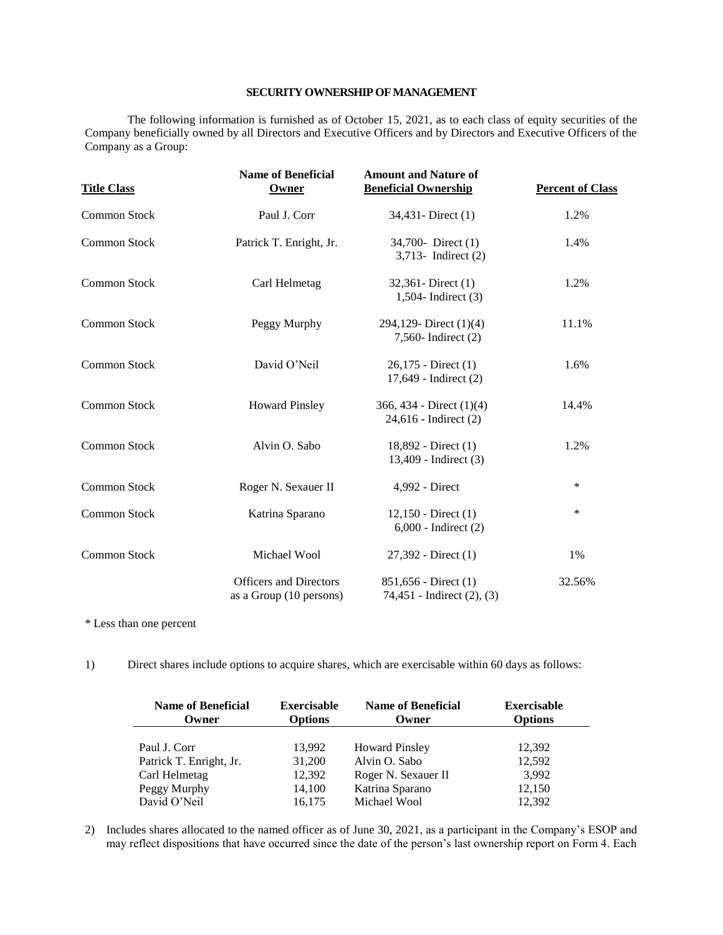# **SECURITY OWNERSHIP OF MANAGEMENT**

The following information is furnished as of October 15, 2021, as to each class of equity securities of the Company beneficially owned by all Directors and Executive Officers and by Directors and Executive Officers of the Company as a Group:

| <b>Title Class</b>  | <b>Name of Beneficial</b><br>Owner                       | <b>Amount and Nature of</b><br><b>Beneficial Ownership</b> | <b>Percent of Class</b> |
|---------------------|----------------------------------------------------------|------------------------------------------------------------|-------------------------|
| <b>Common Stock</b> | Paul J. Corr                                             | 34,431 - Direct (1)                                        | 1.2%                    |
| <b>Common Stock</b> | Patrick T. Enright, Jr.                                  | 34,700- Direct (1)<br>$3,713$ - Indirect $(2)$             | 1.4%                    |
| <b>Common Stock</b> | Carl Helmetag                                            | $32,361$ - Direct $(1)$<br>1,504- Indirect $(3)$           | 1.2%                    |
| <b>Common Stock</b> | Peggy Murphy                                             | 294,129-Direct (1)(4)<br>7,560- Indirect (2)               | 11.1%                   |
| <b>Common Stock</b> | David O'Neil                                             | 26,175 - Direct (1)<br>17,649 - Indirect (2)               | 1.6%                    |
| <b>Common Stock</b> | <b>Howard Pinsley</b>                                    | 366, 434 - Direct $(1)(4)$<br>24,616 - Indirect (2)        | 14.4%                   |
| <b>Common Stock</b> | Alvin O. Sabo                                            | 18,892 - Direct (1)<br>13,409 - Indirect (3)               | 1.2%                    |
| <b>Common Stock</b> | Roger N. Sexauer II                                      | 4,992 - Direct                                             | ∗                       |
| <b>Common Stock</b> | Katrina Sparano                                          | $12,150$ - Direct $(1)$<br>$6,000$ - Indirect $(2)$        | ∗                       |
| <b>Common Stock</b> | Michael Wool                                             | 27,392 - Direct (1)                                        | 1%                      |
|                     | <b>Officers and Directors</b><br>as a Group (10 persons) | $851,656$ - Direct $(1)$<br>74,451 - Indirect (2), (3)     | 32.56%                  |

\* Less than one percent

1) Direct shares include options to acquire shares, which are exercisable within 60 days as follows:

| <b>Name of Beneficial</b><br>Owner | <b>Exercisable</b><br><b>Options</b> | <b>Name of Beneficial</b><br>Owner | <b>Exercisable</b><br><b>Options</b> |
|------------------------------------|--------------------------------------|------------------------------------|--------------------------------------|
| Paul J. Corr                       | 13,992                               | <b>Howard Pinsley</b>              | 12.392                               |
| Patrick T. Enright, Jr.            | 31,200                               | Alvin O. Sabo                      | 12,592                               |
| Carl Helmetag                      | 12,392                               | Roger N. Sexauer II                | 3,992                                |
| Peggy Murphy                       | 14,100                               | Katrina Sparano                    | 12,150                               |
| David O'Neil                       | 16,175                               | Michael Wool                       | 12,392                               |

2) Includes shares allocated to the named officer as of June 30, 2021, as a participant in the Company's ESOP and may reflect dispositions that have occurred since the date of the person's last ownership report on Form 4. Each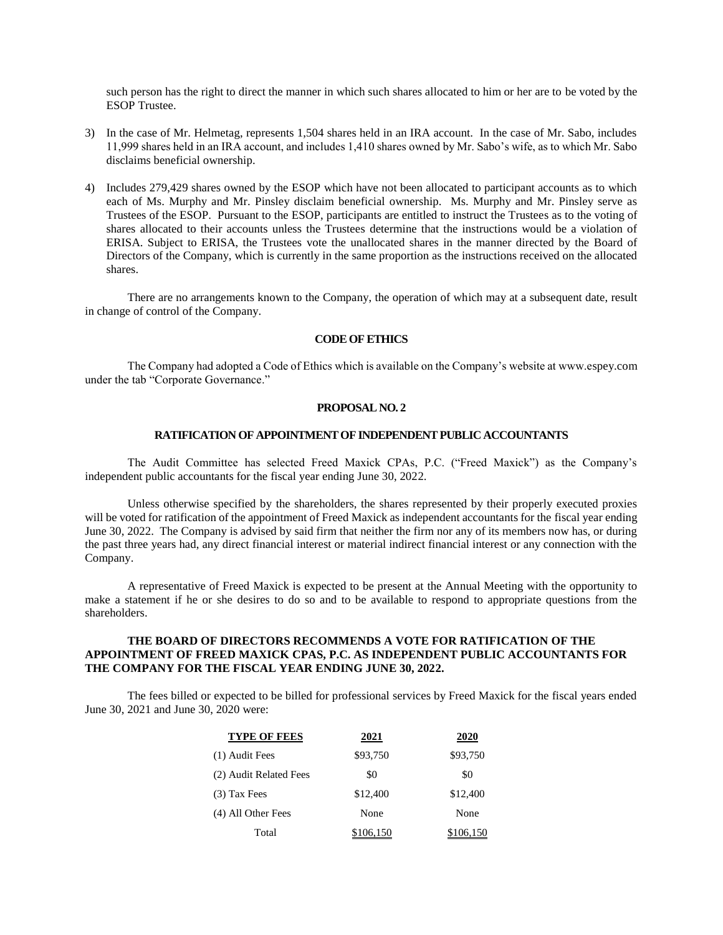such person has the right to direct the manner in which such shares allocated to him or her are to be voted by the ESOP Trustee.

- 3) In the case of Mr. Helmetag, represents 1,504 shares held in an IRA account. In the case of Mr. Sabo, includes 11,999 shares held in an IRA account, and includes 1,410 shares owned by Mr. Sabo's wife, as to which Mr. Sabo disclaims beneficial ownership.
- 4) Includes 279,429 shares owned by the ESOP which have not been allocated to participant accounts as to which each of Ms. Murphy and Mr. Pinsley disclaim beneficial ownership. Ms. Murphy and Mr. Pinsley serve as Trustees of the ESOP. Pursuant to the ESOP, participants are entitled to instruct the Trustees as to the voting of shares allocated to their accounts unless the Trustees determine that the instructions would be a violation of ERISA. Subject to ERISA, the Trustees vote the unallocated shares in the manner directed by the Board of Directors of the Company, which is currently in the same proportion as the instructions received on the allocated shares.

There are no arrangements known to the Company, the operation of which may at a subsequent date, result in change of control of the Company.

## **CODE OF ETHICS**

The Company had adopted a Code of Ethics which is available on the Company's website at www.espey.com under the tab "Corporate Governance."

#### **PROPOSAL NO. 2**

# **RATIFICATION OF APPOINTMENT OF INDEPENDENT PUBLIC ACCOUNTANTS**

The Audit Committee has selected Freed Maxick CPAs, P.C. ("Freed Maxick") as the Company's independent public accountants for the fiscal year ending June 30, 2022.

Unless otherwise specified by the shareholders, the shares represented by their properly executed proxies will be voted for ratification of the appointment of Freed Maxick as independent accountants for the fiscal year ending June 30, 2022. The Company is advised by said firm that neither the firm nor any of its members now has, or during the past three years had, any direct financial interest or material indirect financial interest or any connection with the Company.

A representative of Freed Maxick is expected to be present at the Annual Meeting with the opportunity to make a statement if he or she desires to do so and to be available to respond to appropriate questions from the shareholders.

## **THE BOARD OF DIRECTORS RECOMMENDS A VOTE FOR RATIFICATION OF THE APPOINTMENT OF FREED MAXICK CPAS, P.C. AS INDEPENDENT PUBLIC ACCOUNTANTS FOR THE COMPANY FOR THE FISCAL YEAR ENDING JUNE 30, 2022.**

The fees billed or expected to be billed for professional services by Freed Maxick for the fiscal years ended June 30, 2021 and June 30, 2020 were:

| <b>TYPE OF FEES</b>    | 2021      | 2020      |
|------------------------|-----------|-----------|
| (1) Audit Fees         | \$93,750  | \$93,750  |
| (2) Audit Related Fees | \$0       | \$0       |
| (3) Tax Fees           | \$12,400  | \$12,400  |
| (4) All Other Fees     | None      | None      |
| Total                  | \$106,150 | \$106,150 |